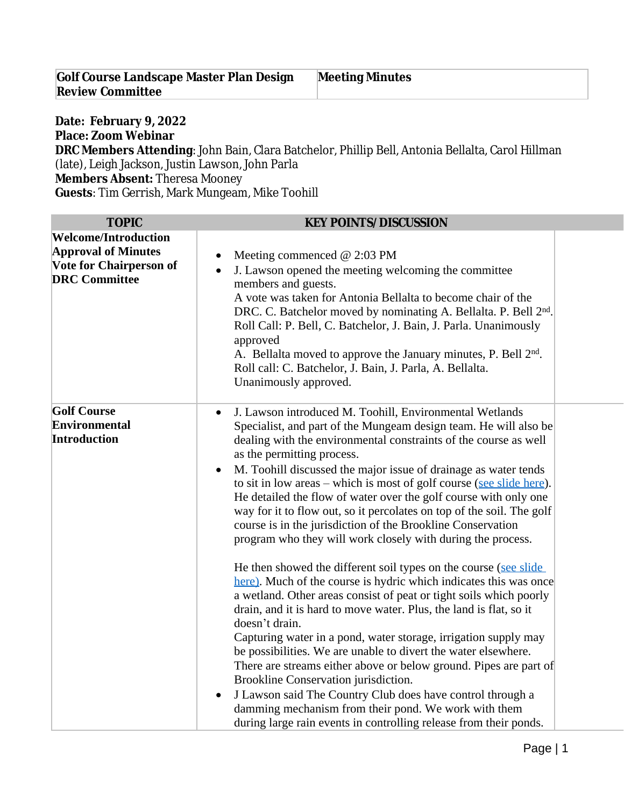| <b>Golf Course Landscape Master Plan Design</b> | <b>Meeting Minutes</b> |
|-------------------------------------------------|------------------------|
| <b>Review Committee</b>                         |                        |

## **Date: February 9, 2022 Place: Zoom Webinar DRC Members Attending**: John Bain, Clara Batchelor, Phillip Bell, Antonia Bellalta, Carol Hillman (late), Leigh Jackson, Justin Lawson, John Parla

**Members Absent:** Theresa Mooney

**Guests**: Tim Gerrish, Mark Mungeam, Mike Toohill

| <b>TOPIC</b>                                                                                                        | <b>KEY POINTS/DISCUSSION</b>                                                                                                                                                                                                                                                                                                                                                                                                                                                                                                                                                                                                                                                                                                                      |  |
|---------------------------------------------------------------------------------------------------------------------|---------------------------------------------------------------------------------------------------------------------------------------------------------------------------------------------------------------------------------------------------------------------------------------------------------------------------------------------------------------------------------------------------------------------------------------------------------------------------------------------------------------------------------------------------------------------------------------------------------------------------------------------------------------------------------------------------------------------------------------------------|--|
| <b>Welcome/Introduction</b><br><b>Approval of Minutes</b><br><b>Vote for Chairperson of</b><br><b>DRC</b> Committee | Meeting commenced $@$ 2:03 PM<br>J. Lawson opened the meeting welcoming the committee<br>members and guests.<br>A vote was taken for Antonia Bellalta to become chair of the<br>DRC. C. Batchelor moved by nominating A. Bellalta. P. Bell 2 <sup>nd</sup> .<br>Roll Call: P. Bell, C. Batchelor, J. Bain, J. Parla. Unanimously<br>approved<br>A. Bellalta moved to approve the January minutes, P. Bell 2nd.<br>Roll call: C. Batchelor, J. Bain, J. Parla, A. Bellalta.<br>Unanimously approved.                                                                                                                                                                                                                                               |  |
| <b>Golf Course</b><br><b>Environmental</b><br><b>Introduction</b>                                                   | J. Lawson introduced M. Toohill, Environmental Wetlands<br>Specialist, and part of the Mungeam design team. He will also be<br>dealing with the environmental constraints of the course as well<br>as the permitting process.<br>M. Toohill discussed the major issue of drainage as water tends<br>$\bullet$<br>to sit in low areas – which is most of golf course (see slide here).<br>He detailed the flow of water over the golf course with only one<br>way for it to flow out, so it percolates on top of the soil. The golf<br>course is in the jurisdiction of the Brookline Conservation<br>program who they will work closely with during the process.                                                                                  |  |
|                                                                                                                     | He then showed the different soil types on the course (see slide)<br>here). Much of the course is hydric which indicates this was once<br>a wetland. Other areas consist of peat or tight soils which poorly<br>drain, and it is hard to move water. Plus, the land is flat, so it<br>doesn't drain.<br>Capturing water in a pond, water storage, irrigation supply may<br>be possibilities. We are unable to divert the water elsewhere.<br>There are streams either above or below ground. Pipes are part of<br>Brookline Conservation jurisdiction.<br>J Lawson said The Country Club does have control through a<br>damming mechanism from their pond. We work with them<br>during large rain events in controlling release from their ponds. |  |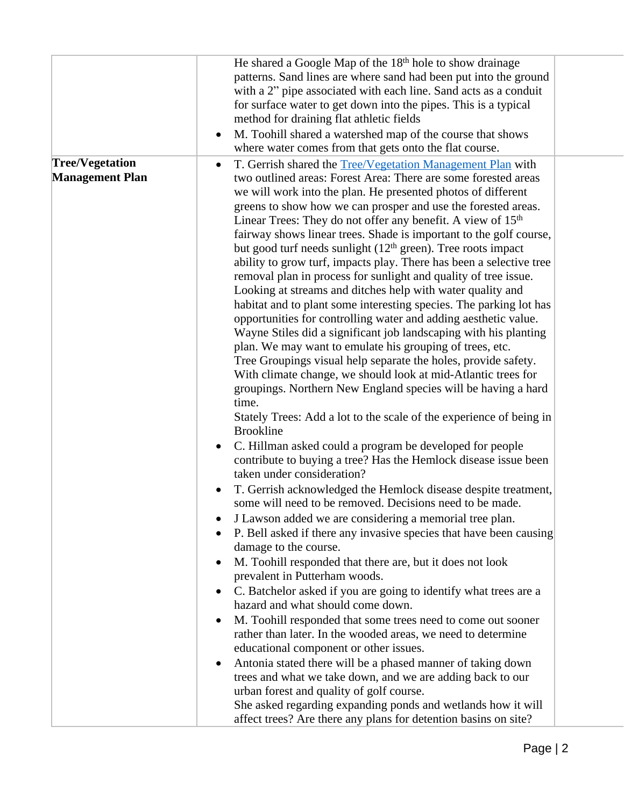|                                                  | He shared a Google Map of the 18 <sup>th</sup> hole to show drainage<br>patterns. Sand lines are where sand had been put into the ground<br>with a 2" pipe associated with each line. Sand acts as a conduit<br>for surface water to get down into the pipes. This is a typical<br>method for draining flat athletic fields<br>M. Toohill shared a watershed map of the course that shows<br>$\bullet$                                                                                                                                                                                                                                                                                                                                                                                                                                                                                                                                                                                                                                                                                                                                                                        |
|--------------------------------------------------|-------------------------------------------------------------------------------------------------------------------------------------------------------------------------------------------------------------------------------------------------------------------------------------------------------------------------------------------------------------------------------------------------------------------------------------------------------------------------------------------------------------------------------------------------------------------------------------------------------------------------------------------------------------------------------------------------------------------------------------------------------------------------------------------------------------------------------------------------------------------------------------------------------------------------------------------------------------------------------------------------------------------------------------------------------------------------------------------------------------------------------------------------------------------------------|
| <b>Tree/Vegetation</b><br><b>Management Plan</b> | where water comes from that gets onto the flat course.<br>T. Gerrish shared the Tree/Vegetation Management Plan with<br>٠<br>two outlined areas: Forest Area: There are some forested areas<br>we will work into the plan. He presented photos of different<br>greens to show how we can prosper and use the forested areas.<br>Linear Trees: They do not offer any benefit. A view of 15 <sup>th</sup><br>fairway shows linear trees. Shade is important to the golf course,<br>but good turf needs sunlight (12 <sup>th</sup> green). Tree roots impact<br>ability to grow turf, impacts play. There has been a selective tree<br>removal plan in process for sunlight and quality of tree issue.<br>Looking at streams and ditches help with water quality and<br>habitat and to plant some interesting species. The parking lot has<br>opportunities for controlling water and adding aesthetic value.<br>Wayne Stiles did a significant job landscaping with his planting<br>plan. We may want to emulate his grouping of trees, etc.<br>Tree Groupings visual help separate the holes, provide safety.<br>With climate change, we should look at mid-Atlantic trees for |
|                                                  | groupings. Northern New England species will be having a hard<br>time.<br>Stately Trees: Add a lot to the scale of the experience of being in<br><b>Brookline</b><br>C. Hillman asked could a program be developed for people<br>$\bullet$<br>contribute to buying a tree? Has the Hemlock disease issue been<br>taken under consideration?<br>T. Gerrish acknowledged the Hemlock disease despite treatment,<br>$\bullet$<br>some will need to be removed. Decisions need to be made.<br>J Lawson added we are considering a memorial tree plan.<br>P. Bell asked if there any invasive species that have been causing<br>damage to the course.<br>M. Toohill responded that there are, but it does not look<br>٠<br>prevalent in Putterham woods.<br>C. Batchelor asked if you are going to identify what trees are a<br>hazard and what should come down.<br>M. Toohill responded that some trees need to come out sooner<br>$\bullet$<br>rather than later. In the wooded areas, we need to determine                                                                                                                                                                     |
|                                                  | educational component or other issues.<br>Antonia stated there will be a phased manner of taking down<br>٠<br>trees and what we take down, and we are adding back to our<br>urban forest and quality of golf course.<br>She asked regarding expanding ponds and wetlands how it will<br>affect trees? Are there any plans for detention basins on site?                                                                                                                                                                                                                                                                                                                                                                                                                                                                                                                                                                                                                                                                                                                                                                                                                       |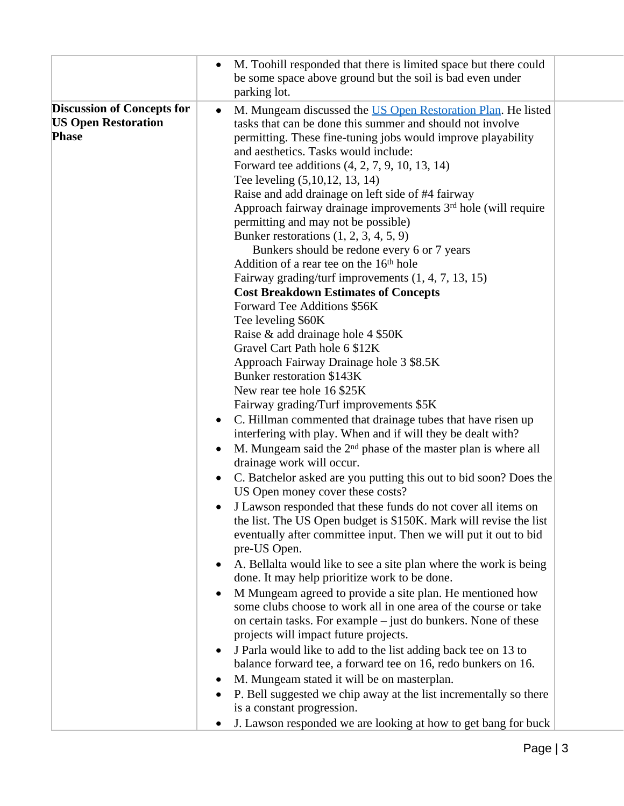|                                   | $\bullet$ | M. Toohill responded that there is limited space but there could<br>be some space above ground but the soil is bad even under<br>parking lot. |  |
|-----------------------------------|-----------|-----------------------------------------------------------------------------------------------------------------------------------------------|--|
| <b>Discussion of Concepts for</b> |           |                                                                                                                                               |  |
|                                   | $\bullet$ | M. Mungeam discussed the US Open Restoration Plan. He listed                                                                                  |  |
| <b>US Open Restoration</b>        |           | tasks that can be done this summer and should not involve                                                                                     |  |
| <b>Phase</b>                      |           | permitting. These fine-tuning jobs would improve playability                                                                                  |  |
|                                   |           | and aesthetics. Tasks would include:                                                                                                          |  |
|                                   |           | Forward tee additions (4, 2, 7, 9, 10, 13, 14)                                                                                                |  |
|                                   |           |                                                                                                                                               |  |
|                                   |           | Tee leveling (5,10,12, 13, 14)                                                                                                                |  |
|                                   |           | Raise and add drainage on left side of #4 fairway                                                                                             |  |
|                                   |           | Approach fairway drainage improvements 3 <sup>rd</sup> hole (will require                                                                     |  |
|                                   |           | permitting and may not be possible)                                                                                                           |  |
|                                   |           | Bunker restorations $(1, 2, 3, 4, 5, 9)$                                                                                                      |  |
|                                   |           |                                                                                                                                               |  |
|                                   |           | Bunkers should be redone every 6 or 7 years                                                                                                   |  |
|                                   |           | Addition of a rear tee on the 16 <sup>th</sup> hole                                                                                           |  |
|                                   |           | Fairway grading/turf improvements $(1, 4, 7, 13, 15)$                                                                                         |  |
|                                   |           | <b>Cost Breakdown Estimates of Concepts</b>                                                                                                   |  |
|                                   |           | Forward Tee Additions \$56K                                                                                                                   |  |
|                                   |           | Tee leveling \$60K                                                                                                                            |  |
|                                   |           |                                                                                                                                               |  |
|                                   |           | Raise & add drainage hole 4 \$50K                                                                                                             |  |
|                                   |           | Gravel Cart Path hole 6 \$12K                                                                                                                 |  |
|                                   |           | Approach Fairway Drainage hole 3 \$8.5K                                                                                                       |  |
|                                   |           | <b>Bunker restoration \$143K</b>                                                                                                              |  |
|                                   |           | New rear tee hole 16 \$25K                                                                                                                    |  |
|                                   |           | Fairway grading/Turf improvements \$5K                                                                                                        |  |
|                                   |           | C. Hillman commented that drainage tubes that have risen up                                                                                   |  |
|                                   | $\bullet$ |                                                                                                                                               |  |
|                                   |           | interfering with play. When and if will they be dealt with?                                                                                   |  |
|                                   |           | M. Mungeam said the $2nd$ phase of the master plan is where all                                                                               |  |
|                                   |           | drainage work will occur.                                                                                                                     |  |
|                                   | $\bullet$ | C. Batchelor asked are you putting this out to bid soon? Does the                                                                             |  |
|                                   |           | US Open money cover these costs?                                                                                                              |  |
|                                   |           |                                                                                                                                               |  |
|                                   |           | • J Lawson responded that these funds do not cover all items on                                                                               |  |
|                                   |           | the list. The US Open budget is \$150K. Mark will revise the list                                                                             |  |
|                                   |           | eventually after committee input. Then we will put it out to bid                                                                              |  |
|                                   |           | pre-US Open.                                                                                                                                  |  |
|                                   |           | A. Bellalta would like to see a site plan where the work is being                                                                             |  |
|                                   |           | done. It may help prioritize work to be done.                                                                                                 |  |
|                                   |           |                                                                                                                                               |  |
|                                   | $\bullet$ | M Mungeam agreed to provide a site plan. He mentioned how                                                                                     |  |
|                                   |           | some clubs choose to work all in one area of the course or take                                                                               |  |
|                                   |           | on certain tasks. For example – just do bunkers. None of these                                                                                |  |
|                                   |           | projects will impact future projects.                                                                                                         |  |
|                                   | $\bullet$ | J Parla would like to add to the list adding back tee on 13 to                                                                                |  |
|                                   |           | balance forward tee, a forward tee on 16, redo bunkers on 16.                                                                                 |  |
|                                   |           |                                                                                                                                               |  |
|                                   | $\bullet$ | M. Mungeam stated it will be on masterplan.                                                                                                   |  |
|                                   |           | P. Bell suggested we chip away at the list incrementally so there                                                                             |  |
|                                   |           | is a constant progression.                                                                                                                    |  |
|                                   |           | J. Lawson responded we are looking at how to get bang for buck                                                                                |  |
|                                   |           |                                                                                                                                               |  |